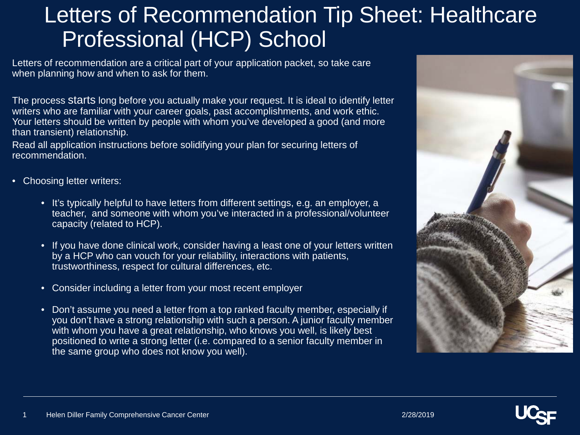## Letters of Recommendation Tip Sheet: Healthcare Professional (HCP) School

Letters of recommendation are a critical part of your application packet, so take care when planning how and when to ask for them.

The process starts long before you actually make your request. It is ideal to identify letter writers who are familiar with your career goals, past accomplishments, and work ethic. Your letters should be written by people with whom you've developed a good (and more than transient) relationship.

Read all application instructions before solidifying your plan for securing letters of recommendation.

- Choosing letter writers:
	- It's typically helpful to have letters from different settings, e.g. an employer, a teacher, and someone with whom you've interacted in a professional/volunteer capacity (related to HCP).
	- If you have done clinical work, consider having a least one of your letters written by a HCP who can vouch for your reliability, interactions with patients, trustworthiness, respect for cultural differences, etc.
	- Consider including a letter from your most recent employer
	- Don't assume you need a letter from a top ranked faculty member, especially if you don't have a strong relationship with such a person. A junior faculty member with whom you have a great relationship, who knows you well, is likely best positioned to write a strong letter (i.e. compared to a senior faculty member in the same group who does not know you well).